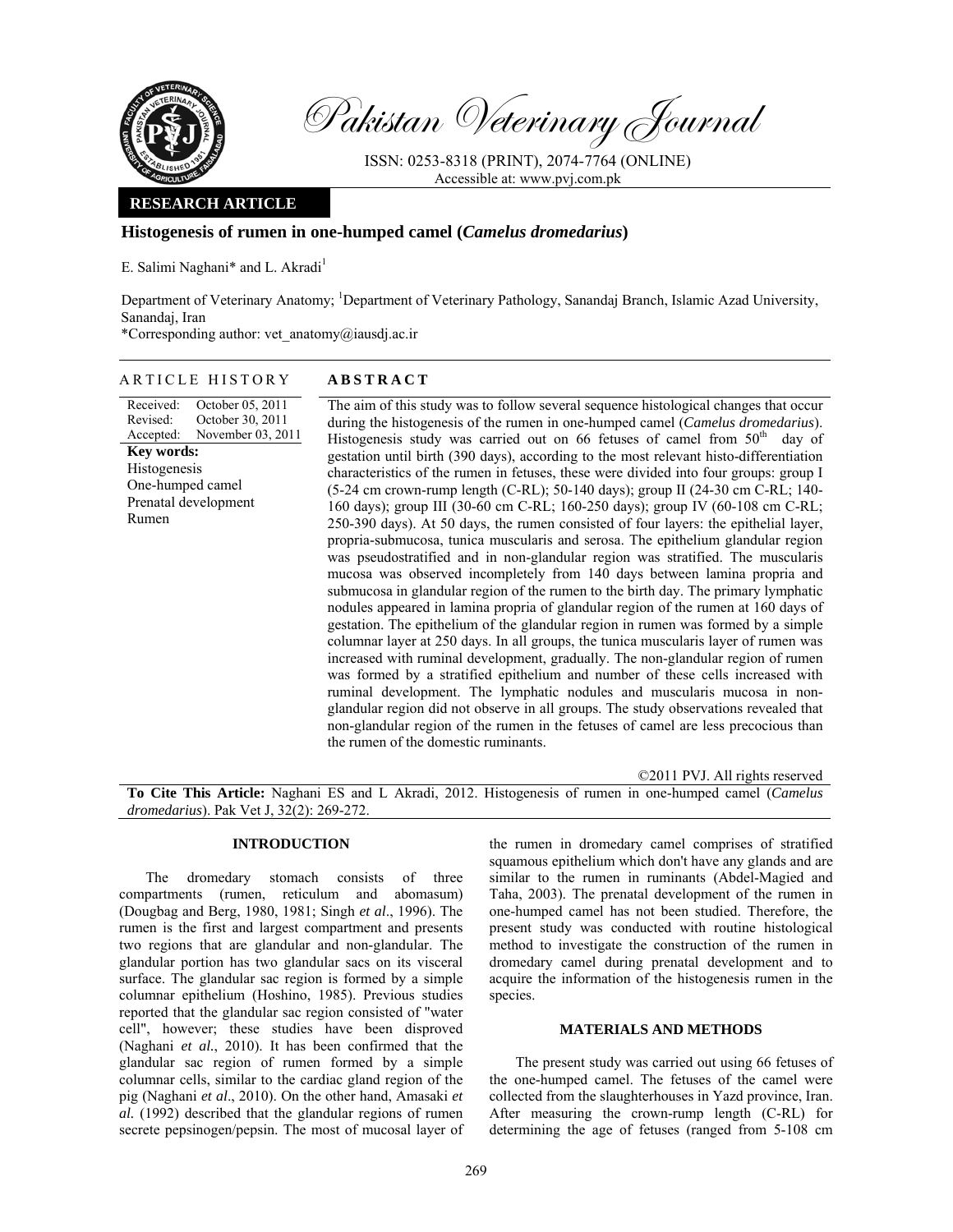

Pakistan Veterinary Journal

ISSN: 0253-8318 (PRINT), 2074-7764 (ONLINE) Accessible at: www.pvj.com.pk

## **RESEARCH ARTICLE**

## **Histogenesis of rumen in one-humped camel (***Camelus dromedarius***)**

E. Salimi Naghani\* and L. Akradi<sup>1</sup>

Department of Veterinary Anatomy; <sup>1</sup>Department of Veterinary Pathology, Sanandaj Branch, Islamic Azad University, Sanandaj, Iran

\*Corresponding author: vet\_anatomy@iausdj.ac.ir

### ARTICLE HISTORY **ABSTRACT**

Received: Revised: Accepted: October 05, 2011 October 30, 2011 November 03, 2011 **Key words:**  Histogenesis One-humped camel Prenatal development Rumen

The aim of this study was to follow several sequence histological changes that occur during the histogenesis of the rumen in one-humped camel (*Camelus dromedarius*). Histogenesis study was carried out on 66 fetuses of camel from  $50<sup>th</sup>$  day of gestation until birth (390 days), according to the most relevant histo-differentiation characteristics of the rumen in fetuses, these were divided into four groups: group I (5-24 cm crown-rump length (C-RL); 50-140 days); group II (24-30 cm C-RL; 140- 160 days); group III (30-60 cm C-RL; 160-250 days); group IV (60-108 cm C-RL; 250-390 days). At 50 days, the rumen consisted of four layers: the epithelial layer, propria-submucosa, tunica muscularis and serosa. The epithelium glandular region was pseudostratified and in non-glandular region was stratified. The muscularis mucosa was observed incompletely from 140 days between lamina propria and submucosa in glandular region of the rumen to the birth day. The primary lymphatic nodules appeared in lamina propria of glandular region of the rumen at 160 days of gestation. The epithelium of the glandular region in rumen was formed by a simple columnar layer at 250 days. In all groups, the tunica muscularis layer of rumen was increased with ruminal development, gradually. The non-glandular region of rumen was formed by a stratified epithelium and number of these cells increased with ruminal development. The lymphatic nodules and muscularis mucosa in nonglandular region did not observe in all groups. The study observations revealed that non-glandular region of the rumen in the fetuses of camel are less precocious than the rumen of the domestic ruminants.

©2011 PVJ. All rights reserved

**To Cite This Article:** Naghani ES and L Akradi, 2012. Histogenesis of rumen in one-humped camel (*Camelus dromedarius*). Pak Vet J, 32(2): 269-272.

#### **INTRODUCTION**

The dromedary stomach consists of three compartments (rumen, reticulum and abomasum) (Dougbag and Berg, 1980, 1981; Singh *et al*., 1996). The rumen is the first and largest compartment and presents two regions that are glandular and non-glandular. The glandular portion has two glandular sacs on its visceral surface. The glandular sac region is formed by a simple columnar epithelium (Hoshino, 1985). Previous studies reported that the glandular sac region consisted of "water cell", however; these studies have been disproved (Naghani *et al.*, 2010). It has been confirmed that the glandular sac region of rumen formed by a simple columnar cells, similar to the cardiac gland region of the pig (Naghani *et al*., 2010). On the other hand, Amasaki *et al.* (1992) described that the glandular regions of rumen secrete pepsinogen/pepsin. The most of mucosal layer of the rumen in dromedary camel comprises of stratified squamous epithelium which don't have any glands and are similar to the rumen in ruminants (Abdel-Magied and Taha, 2003). The prenatal development of the rumen in one-humped camel has not been studied. Therefore, the present study was conducted with routine histological method to investigate the construction of the rumen in dromedary camel during prenatal development and to acquire the information of the histogenesis rumen in the species.

# **MATERIALS AND METHODS**

The present study was carried out using 66 fetuses of the one-humped camel. The fetuses of the camel were collected from the slaughterhouses in Yazd province, Iran. After measuring the crown-rump length (C-RL) for determining the age of fetuses (ranged from 5-108 cm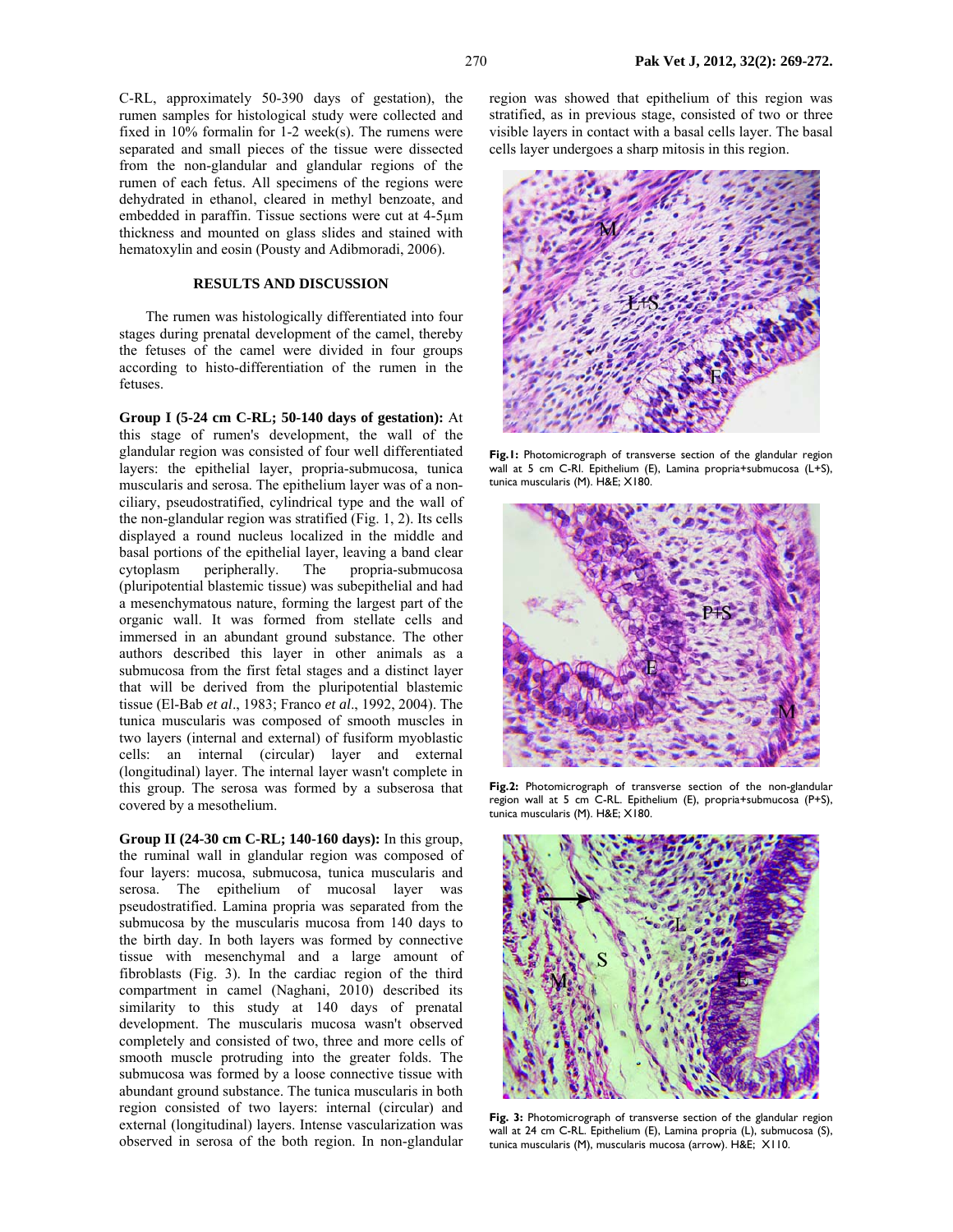C-RL, approximately 50-390 days of gestation), the rumen samples for histological study were collected and fixed in 10% formalin for 1-2 week(s). The rumens were separated and small pieces of the tissue were dissected from the non-glandular and glandular regions of the rumen of each fetus. All specimens of the regions were dehydrated in ethanol, cleared in methyl benzoate, and embedded in paraffin. Tissue sections were cut at 4-5µm thickness and mounted on glass slides and stained with hematoxylin and eosin (Pousty and Adibmoradi, 2006).

#### **RESULTS AND DISCUSSION**

The rumen was histologically differentiated into four stages during prenatal development of the camel, thereby the fetuses of the camel were divided in four groups according to histo-differentiation of the rumen in the fetuses.

**Group I (5-24 cm C-RL; 50-140 days of gestation):** At this stage of rumen's development, the wall of the glandular region was consisted of four well differentiated layers: the epithelial layer, propria-submucosa, tunica muscularis and serosa. The epithelium layer was of a nonciliary, pseudostratified, cylindrical type and the wall of the non-glandular region was stratified (Fig. 1, 2). Its cells displayed a round nucleus localized in the middle and basal portions of the epithelial layer, leaving a band clear cytoplasm peripherally. The propria-submucosa (pluripotential blastemic tissue) was subepithelial and had a mesenchymatous nature, forming the largest part of the organic wall. It was formed from stellate cells and immersed in an abundant ground substance. The other authors described this layer in other animals as a submucosa from the first fetal stages and a distinct layer that will be derived from the pluripotential blastemic tissue (El-Bab *et al*., 1983; Franco *et al*., 1992, 2004). The tunica muscularis was composed of smooth muscles in two layers (internal and external) of fusiform myoblastic cells: an internal (circular) layer and external (longitudinal) layer. The internal layer wasn't complete in this group. The serosa was formed by a subserosa that covered by a mesothelium.

**Group II (24-30 cm C-RL; 140-160 days):** In this group, the ruminal wall in glandular region was composed of four layers: mucosa, submucosa, tunica muscularis and serosa. The epithelium of mucosal layer was pseudostratified. Lamina propria was separated from the submucosa by the muscularis mucosa from 140 days to the birth day. In both layers was formed by connective tissue with mesenchymal and a large amount of fibroblasts (Fig. 3). In the cardiac region of the third compartment in camel (Naghani, 2010) described its similarity to this study at 140 days of prenatal development. The muscularis mucosa wasn't observed completely and consisted of two, three and more cells of smooth muscle protruding into the greater folds. The submucosa was formed by a loose connective tissue with abundant ground substance. The tunica muscularis in both region consisted of two layers: internal (circular) and external (longitudinal) layers. Intense vascularization was observed in serosa of the both region. In non-glandular

region was showed that epithelium of this region was stratified, as in previous stage, consisted of two or three visible layers in contact with a basal cells layer. The basal cells layer undergoes a sharp mitosis in this region.



**Fig.1:** Photomicrograph of transverse section of the glandular region wall at 5 cm C-Rl. Epithelium (E), Lamina propria+submucosa (L+S), tunica muscularis (M). H&E; X180.



**Fig.2:** Photomicrograph of transverse section of the non-glandular region wall at 5 cm C-RL. Epithelium (E), propria+submucosa (P+S), tunica muscularis (M). H&E; X180.



**Fig. 3:** Photomicrograph of transverse section of the glandular region wall at 24 cm C-RL. Epithelium (E), Lamina propria (L), submucosa (S), tunica muscularis (M), muscularis mucosa (arrow). H&E; X110.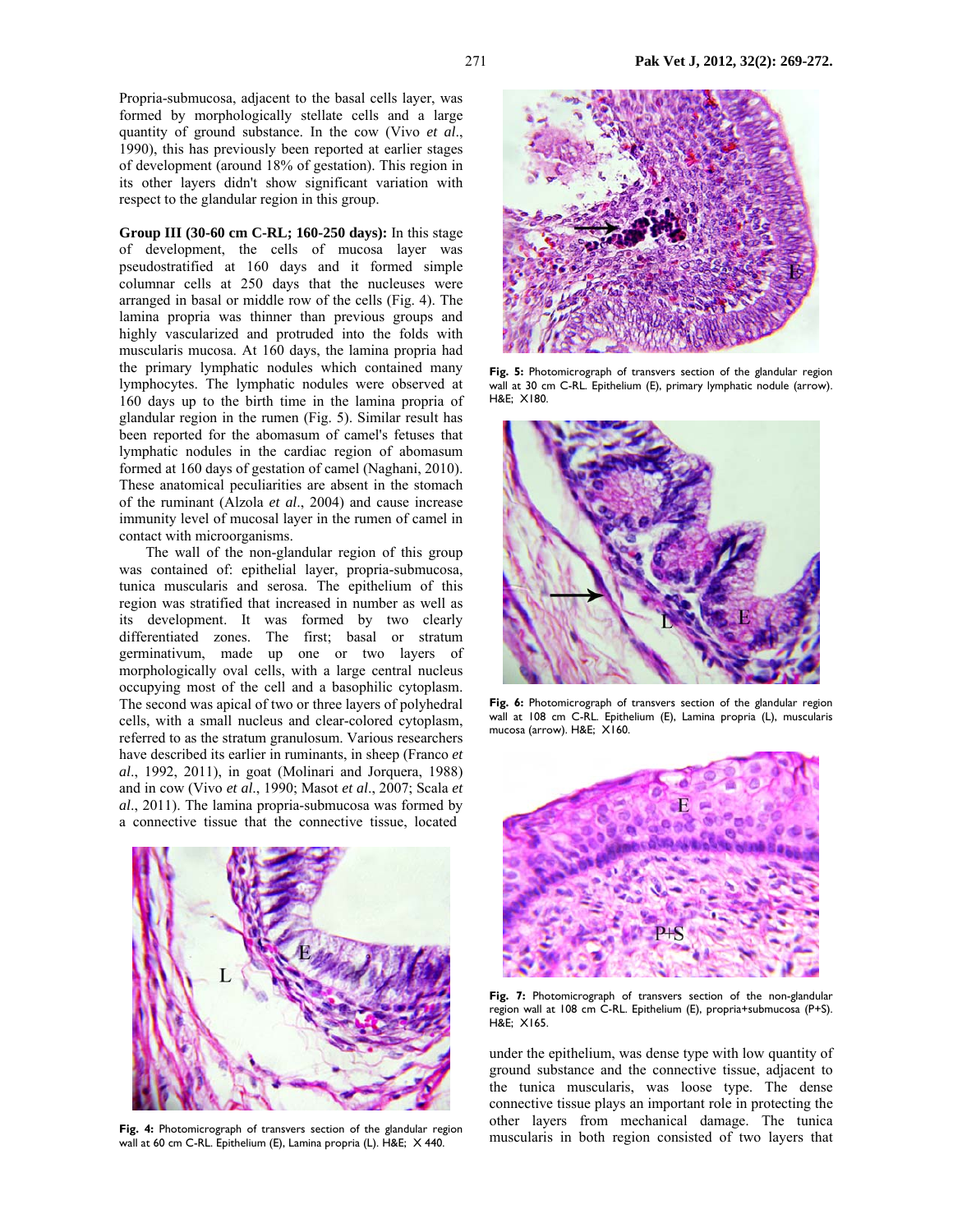Propria-submucosa, adjacent to the basal cells layer, was formed by morphologically stellate cells and a large quantity of ground substance. In the cow (Vivo *et al*., 1990), this has previously been reported at earlier stages of development (around 18% of gestation). This region in its other layers didn't show significant variation with respect to the glandular region in this group.

**Group III (30-60 cm C-RL; 160-250 days):** In this stage of development, the cells of mucosa layer was pseudostratified at 160 days and it formed simple columnar cells at 250 days that the nucleuses were arranged in basal or middle row of the cells (Fig. 4). The lamina propria was thinner than previous groups and highly vascularized and protruded into the folds with muscularis mucosa. At 160 days, the lamina propria had the primary lymphatic nodules which contained many lymphocytes. The lymphatic nodules were observed at 160 days up to the birth time in the lamina propria of glandular region in the rumen (Fig. 5). Similar result has been reported for the abomasum of camel's fetuses that lymphatic nodules in the cardiac region of abomasum formed at 160 days of gestation of camel (Naghani, 2010). These anatomical peculiarities are absent in the stomach of the ruminant (Alzola *et al*., 2004) and cause increase immunity level of mucosal layer in the rumen of camel in contact with microorganisms.

The wall of the non-glandular region of this group was contained of: epithelial layer, propria-submucosa, tunica muscularis and serosa. The epithelium of this region was stratified that increased in number as well as its development. It was formed by two clearly differentiated zones. The first; basal or stratum germinativum, made up one or two layers of morphologically oval cells, with a large central nucleus occupying most of the cell and a basophilic cytoplasm. The second was apical of two or three layers of polyhedral cells, with a small nucleus and clear-colored cytoplasm, referred to as the stratum granulosum. Various researchers have described its earlier in ruminants, in sheep (Franco *et al*., 1992, 2011), in goat (Molinari and Jorquera, 1988) and in cow (Vivo *et al*., 1990; Masot *et al*., 2007; Scala *et al*., 2011). The lamina propria-submucosa was formed by a connective tissue that the connective tissue, located



Fig. 4: Photomicrograph of transvers section of the glandular region wall at 60 cm C-RL. Epithelium (E), Lamina propria (L). H&E; X 440.



Fig. 5: Photomicrograph of transvers section of the glandular region wall at 30 cm C-RL. Epithelium (E), primary lymphatic nodule (arrow). H&E; X180.



Fig. 6: Photomicrograph of transvers section of the glandular region wall at 108 cm C-RL. Epithelium (E), Lamina propria (L), muscularis mucosa (arrow). H&E; X160.



**Fig. 7:** Photomicrograph of transvers section of the non-glandular region wall at 108 cm C-RL. Epithelium (E), propria+submucosa (P+S). H&E; X165.

under the epithelium, was dense type with low quantity of ground substance and the connective tissue, adjacent to the tunica muscularis, was loose type. The dense connective tissue plays an important role in protecting the other layers from mechanical damage. The tunica muscularis in both region consisted of two layers that